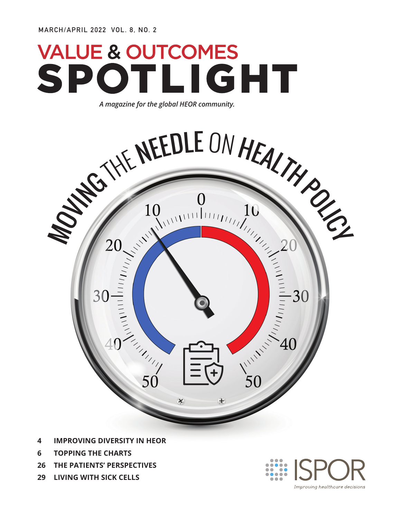# **VALUE & OUTCOMES** SPOTLIGHT

*A magazine for the global HEOR community.*



- **4 IMPROVING DIVERSITY IN HEOR**
- **6 TOPPING THE CHARTS**
- **26 THE PATIENTS' PERSPECTIVES**
- **29 LIVING WITH SICK CELLS**

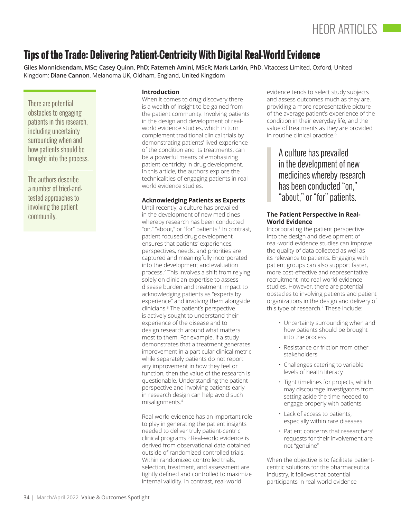## **Tips of the Trade: Delivering Patient-Centricity With Digital Real-World Evidence**

**Giles Monnickendam, MSc; Casey Quinn, PhD; Fatemeh Amini, MScR; Mark Larkin, PhD**, Vitaccess Limited, Oxford, United Kingdom; **Diane Cannon**, Melanoma UK, Oldham, England, United Kingdom

There are potential obstacles to engaging patients in this research, including uncertainty surrounding when and how patients should be brought into the process.

The authors describe a number of tried-andtested approaches to involving the patient community.

#### **Introduction**

When it comes to drug discovery there is a wealth of insight to be gained from the patient community. Involving patients in the design and development of realworld evidence studies, which in turn complement traditional clinical trials by demonstrating patients' lived experience of the condition and its treatments, can be a powerful means of emphasizing patient-centricity in drug development. In this article, the authors explore the technicalities of engaging patients in realworld evidence studies.

#### **Acknowledging Patients as Experts**

Until recently, a culture has prevailed in the development of new medicines whereby research has been conducted "on," "about," or "for" patients.1 In contrast, patient-focused drug development ensures that patients' experiences, perspectives, needs, and priorities are captured and meaningfully incorporated into the development and evaluation process.2 This involves a shift from relying solely on clinician expertise to assess disease burden and treatment impact to acknowledging patients as "experts by experience" and involving them alongside clinicians.3 The patient's perspective is actively sought to understand their experience of the disease and to design research around what matters most to them. For example, if a study demonstrates that a treatment generates improvement in a particular clinical metric while separately patients do not report any improvement in how they feel or function, then the value of the research is questionable. Understanding the patient perspective and involving patients early in research design can help avoid such misalignments.4

Real-world evidence has an important role to play in generating the patient insights needed to deliver truly patient-centric clinical programs.5 Real-world evidence is derived from observational data obtained outside of randomized controlled trials. Within randomized controlled trials, selection, treatment, and assessment are tightly defined and controlled to maximize internal validity. In contrast, real-world

evidence tends to select study subjects and assess outcomes much as they are, providing a more representative picture of the average patient's experience of the condition in their everyday life, and the value of treatments as they are provided in routine clinical practice.<sup>6</sup>

> A culture has prevailed in the development of new medicines whereby research has been conducted "on," "about," or "for" patients.

#### **The Patient Perspective in Real-World Evidence**

Incorporating the patient perspective into the design and development of real-world evidence studies can improve the quality of data collected as well as its relevance to patients. Engaging with patient groups can also support faster, more cost-effective and representative recruitment into real-world evidence studies. However, there are potential obstacles to involving patients and patient organizations in the design and delivery of this type of research.7 These include:

- Uncertainty surrounding when and how patients should be brought into the process
- Resistance or friction from other stakeholders
- Challenges catering to variable levels of health literacy
- Tight timelines for projects, which may discourage investigators from setting aside the time needed to engage properly with patients
- Lack of access to patients, especially within rare diseases
- Patient concerns that researchers' requests for their involvement are not "genuine"

When the objective is to facilitate patientcentric solutions for the pharmaceutical industry, it follows that potential participants in real-world evidence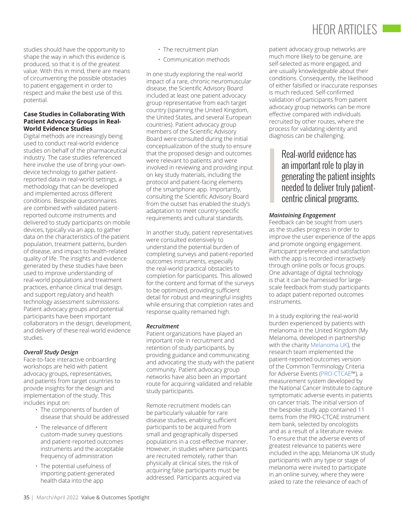## HEOR ARTICLES I

studies should have the opportunity to shape the way in which this evidence is produced, so that it is of the greatest value. With this in mind, there are means of circumventing the possible obstacles to patient engagement in order to respect and make the best use of this potential.

#### **Case Studies in Collaborating With Patient Advocacy Groups in Real-World Evidence Studies**

Digital methods are increasingly being used to conduct real-world evidence studies on behalf of the pharmaceutical industry. The case studies referenced here involve the use of bring-your-owndevice technology to gather patientreported data in real-world settings, a methodology that can be developed and implemented across different conditions. Bespoke questionnaires are combined with validated patientreported outcome instruments and delivered to study participants on mobile devices, typically via an app, to gather data on the characteristics of the patient population, treatment patterns, burden of disease, and impact to health-related quality of life. The insights and evidence generated by these studies have been used to improve understanding of real-world populations and treatment practices, enhance clinical trial design, and support regulatory and health technology assessment submissions. Patient advocacy groups and potential participants have been important collaborators in the design, development, and delivery of these real-world evidence studies.

#### *Overall Study Design*

Face-to-face interactive onboarding workshops are held with patient advocacy groups, representatives, and patients from target countries to provide insights for the design and implementation of the study. This includes input on:

- The components of burden of disease that should be addressed
- The relevance of different custom-made survey questions and patient-reported outcomes instruments and the acceptable frequency of administration
- The potential usefulness of importing patient-generated health data into the app
- The recruitment plan
- Communication methods

In one study exploring the real-world impact of a rare, chronic neuromuscular disease, the Scientific Advisory Board included at least one patient advocacy group representative from each target country (spanning the United Kingdom, the United States, and several European countries). Patient advocacy group members of the Scientific Advisory Board were consulted during the initial conceptualization of the study to ensure that the proposed design and outcomes were relevant to patients and were involved in reviewing and providing input on key study materials, including the protocol and patient-facing elements of the smartphone app. Importantly, consulting the Scientific Advisory Board from the outset has enabled the study's adaptation to meet country-specific requirements and cultural standards.

In another study, patient representatives were consulted extensively to understand the potential burden of completing surveys and patient-reported outcomes instruments, especially the real-world practical obstacles to completion for participants. This allowed for the content and format of the surveys to be optimized, providing sufficient detail for robust and meaningful insights while ensuring that completion rates and response quality remained high.

#### *Recruitment*

Patient organizations have played an important role in recruitment and retention of study participants, by providing guidance and communicating and advocating the study with the patient community. Patient advocacy group networks have also been an important route for acquiring validated and reliable study participants.

Remote recruitment models can be particularly valuable for rare disease studies, enabling sufficient participants to be acquired from small and geographically dispersed populations in a cost-effective manner. However, in studies where participants are recruited remotely, rather than physically at clinical sites, the risk of acquiring false participants must be addressed. Participants acquired via

patient advocacy group networks are much more likely to be genuine, are self-selected as more engaged, and are usually knowledgeable about their conditions. Consequently, the likelihood of either falsified or inaccurate responses is much reduced. Self-confirmed validation of participants from patient advocacy group networks can be more effective compared with individuals recruited by other routes, where the process for validating identity and diagnosis can be challenging.

### Real-world evidence has an important role to play in generating the patient insights needed to deliver truly patientcentric clinical programs.

#### *Maintaining Engagement*

Feedback can be sought from users as the studies progress in order to improve the user experience of the apps and promote ongoing engagement. Participant preference and satisfaction with the app is recorded interactively through online polls or focus groups. One advantage of digital technology is that it can be harnessed for largescale feedback from study participants to adapt patient-reported outcomes instruments.

In a study exploring the real-world burden experienced by patients with melanoma in the United Kingdom (My Melanoma, developed in partnership with the charity [Melanoma UK\)](https://www.melanomauk.org.uk/), the research team implemented the patient-reported outcomes version of the Common Terminology Criteria for Adverse Events [\(PRO-CTCAE](https://healthcaredelivery.cancer.gov/pro-ctcae/)™), a measurement system developed by the National Cancer Institute to capture symptomatic adverse events in patients on cancer trials. The initial version of the bespoke study app contained 11 items from the PRO-CTCAE instrument item bank, selected by oncologists and as a result of a literature review. To ensure that the adverse events of greatest relevance to patients were included in the app, Melanoma UK study participants with any type or stage of melanoma were invited to participate in an online survey, where they were asked to rate the relevance of each of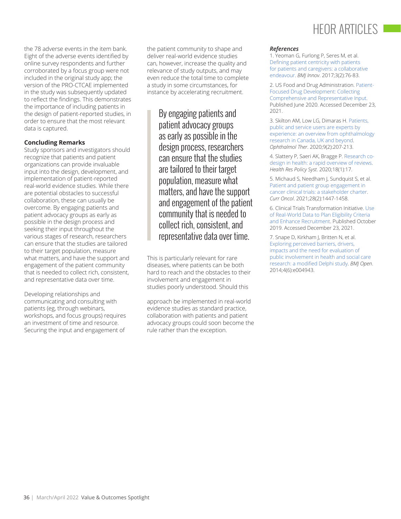the 78 adverse events in the item bank. Eight of the adverse events identified by online survey respondents and further corroborated by a focus group were not included in the original study app; the version of the PRO-CTCAE implemented in the study was subsequently updated to reflect the findings. This demonstrates the importance of including patients in the design of patient-reported studies, in order to ensure that the most relevant data is captured.

#### **Concluding Remarks**

Study sponsors and investigators should recognize that patients and patient organizations can provide invaluable input into the design, development, and implementation of patient-reported real-world evidence studies. While there are potential obstacles to successful collaboration, these can usually be overcome. By engaging patients and patient advocacy groups as early as possible in the design process and seeking their input throughout the various stages of research, researchers can ensure that the studies are tailored to their target population, measure what matters, and have the support and engagement of the patient community that is needed to collect rich, consistent, and representative data over time.

Developing relationships and communicating and consulting with patients (eg, through webinars, workshops, and focus groups) requires an investment of time and resource. Securing the input and engagement of

the patient community to shape and deliver real-world evidence studies can, however, increase the quality and relevance of study outputs, and may even reduce the total time to complete a study in some circumstances, for instance by accelerating recruitment.

> By engaging patients and patient advocacy groups as early as possible in the design process, researchers can ensure that the studies are tailored to their target population, measure what matters, and have the support and engagement of the patient community that is needed to collect rich, consistent, and representative data over time.

This is particularly relevant for rare diseases, where patients can be both hard to reach and the obstacles to their involvement and engagement in studies poorly understood. Should this

approach be implemented in real-world evidence studies as standard practice, collaboration with patients and patient advocacy groups could soon become the rule rather than the exception.

## HEOR ARTICLES

#### *References*

1. Yeoman G, Furlong P, Seres M, et al. [Defining patient centricity with patients](https://innovations.bmj.com/content/3/2/76)  [for patients and caregivers: a collaborative](https://innovations.bmj.com/content/3/2/76)  [endeavour](https://innovations.bmj.com/content/3/2/76). *BMJ Innov*. 2017;3(2):76-83.

2. US Food and Drug Administration. [Patient-](https://www.fda.gov/regulatory-information/search-fda-guidance-documents/patient-focused-drug-development-collecting-comprehensive-and-representative-input)[Focused Drug Development: Collecting](https://www.fda.gov/regulatory-information/search-fda-guidance-documents/patient-focused-drug-development-collecting-comprehensive-and-representative-input)  [Comprehensive and Representative Input.](https://www.fda.gov/regulatory-information/search-fda-guidance-documents/patient-focused-drug-development-collecting-comprehensive-and-representative-input) Published June 2020. Accessed December 23, 2021.

3. Skilton AM, Low LG, Dimaras H. [Patients,](https://pubmed.ncbi.nlm.nih.gov/32114666/)  [public and service users are experts by](https://pubmed.ncbi.nlm.nih.gov/32114666/)  [experience: an overview from ophthalmology](https://pubmed.ncbi.nlm.nih.gov/32114666/)  [research in Canada, UK and beyond](https://pubmed.ncbi.nlm.nih.gov/32114666/). *Ophthalmol Ther*. 2020;9(2):207-213.

4. Slattery P, Saeri AK, Bragge P. [Research co](https://health-policy-systems.biomedcentral.com/articles/10.1186/s12961-020-0528-9)[design in health: a rapid overview of reviews.](https://health-policy-systems.biomedcentral.com/articles/10.1186/s12961-020-0528-9) *Health Res Policy Syst*. 2020;18(1):17.

5. Michaud S, Needham J, Sundquist S, et al. [Patient and patient group engagement in](https://pubmed.ncbi.nlm.nih.gov/33917947/)  [cancer clinical trials: a stakeholder charter](https://pubmed.ncbi.nlm.nih.gov/33917947/). *Curr Oncol*. 2021;28(2):1447-1458.

6. Clinical Trials Transformation Initiative. [Use](https://ctti-clinicaltrials.org/wp-content/uploads/2021/06/CTTI_RWD_Recs.pdf)  [of Real-World Data to Plan Eligibility Criteria](https://ctti-clinicaltrials.org/wp-content/uploads/2021/06/CTTI_RWD_Recs.pdf)  [and Enhance Recruitment](https://ctti-clinicaltrials.org/wp-content/uploads/2021/06/CTTI_RWD_Recs.pdf). Published October 2019. Accessed December 23, 2021.

7. Snape D, Kirkham J, Britten N, et al. [Exploring perceived barriers, drivers,](https://bmjopen.bmj.com/content/4/6/e004943)  [impacts and the need for evaluation of](https://bmjopen.bmj.com/content/4/6/e004943)  [public involvement in health and social care](https://bmjopen.bmj.com/content/4/6/e004943)  [research: a modified Delphi study](https://bmjopen.bmj.com/content/4/6/e004943). *BMJ Open*. 2014;4(6):e004943.